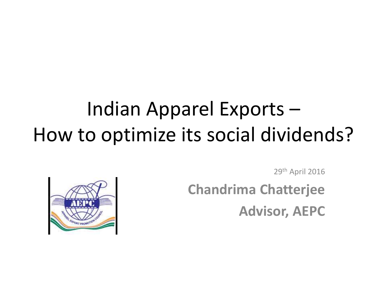# Indian Apparel Exports – How to optimize its social dividends?

29th April 2016

**Chandrima Chatterjee**

**Advisor, AEPC**

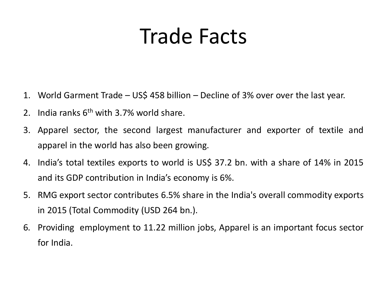# Trade Facts

- 1. World Garment Trade US\$ 458 billion Decline of 3% over over the last year.
- 2. India ranks  $6<sup>th</sup>$  with 3.7% world share.
- 3. Apparel sector, the second largest manufacturer and exporter of textile and apparel in the world has also been growing.
- 4. India's total textiles exports to world is US\$ 37.2 bn. with a share of 14% in 2015 and its GDP contribution in India's economy is 6%.
- 5. RMG export sector contributes 6.5% share in the India's overall commodity exports in 2015 (Total Commodity (USD 264 bn.).
- 6. Providing employment to 11.22 million jobs, Apparel is an important focus sector for India.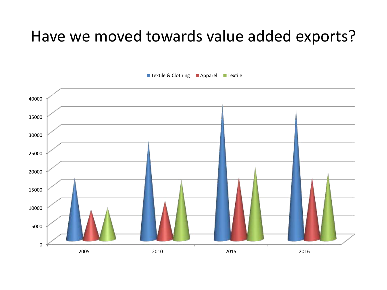#### Have we moved towards value added exports?



■ Textile & Clothing ■ Apparel ■ Textile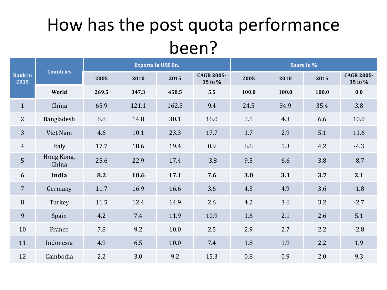### How has the post quota performance been?

|                        |                     |       |       | <b>Exports in US\$ Bn.</b> |                              |       |       | Share in % |                              |  |  |
|------------------------|---------------------|-------|-------|----------------------------|------------------------------|-------|-------|------------|------------------------------|--|--|
| <b>Rank in</b><br>2015 | <b>Countries</b>    | 2005  | 2010  | 2015                       | <b>CAGR 2005-</b><br>15 in % | 2005  | 2010  | 2015       | <b>CAGR 2005-</b><br>15 in % |  |  |
|                        | World               | 269.5 | 347.3 | 458.5                      | 5.5                          | 100.0 | 100.0 | 100.0      | 0.0                          |  |  |
| $\mathbf{1}$           | China               | 65.9  | 121.1 | 162.3                      | 9.4                          | 24.5  | 34.9  | 35.4       | 3.8                          |  |  |
| 2                      | Bangladesh          | 6.8   | 14.8  | 30.1                       | 16.0                         | 2.5   | 4.3   | 6.6        | 10.0                         |  |  |
| 3                      | Viet Nam            | 4.6   | 10.1  | 23.3                       | 17.7                         | 1.7   | 2.9   | 5.1        | 11.6                         |  |  |
| $\overline{4}$         | Italy               | 17.7  | 18.6  | 19.4                       | 0.9                          | 6.6   | 5.3   | 4.2        | $-4.3$                       |  |  |
| 5                      | Hong Kong,<br>China | 25.6  | 22.9  | 17.4                       | $-3.8$                       | 9.5   | 6.6   | 3.8        | $-8.7$                       |  |  |
| 6                      | India               | 8.2   | 10.6  | 17.1                       | 7.6                          | 3.0   | 3.1   | 3.7        | 2.1                          |  |  |
| $\overline{7}$         | Germany             | 11.7  | 16.9  | 16.6                       | 3.6                          | 4.3   | 4.9   | 3.6        | $-1.8$                       |  |  |
| 8                      | Turkey              | 11.5  | 12.4  | 14.9                       | 2.6                          | 4.2   | 3.6   | 3.2        | $-2.7$                       |  |  |
| 9                      | Spain               | 4.2   | 7.4   | 11.9                       | 10.9                         | 1.6   | 2.1   | 2.6        | 5.1                          |  |  |
| 10                     | France              | 7.8   | 9.2   | 10.0                       | 2.5                          | 2.9   | 2.7   | 2.2        | $-2.8$                       |  |  |
| 11                     | Indonesia           | 4.9   | 6.5   | 10.0                       | 7.4                          | 1.8   | 1.9   | 2.2        | 1.9                          |  |  |
| 12                     | Cambodia            | 2.2   | 3.0   | 9.2                        | 15.3                         | 0.8   | 0.9   | 2.0        | 9.3                          |  |  |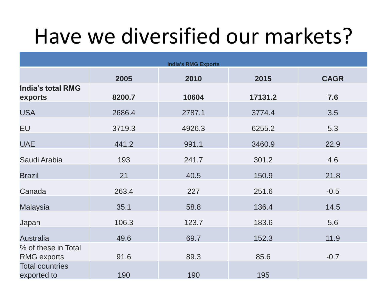# Have we diversified our markets?

| <b>India's RMG Exports</b>                |        |        |         |             |  |  |
|-------------------------------------------|--------|--------|---------|-------------|--|--|
|                                           | 2005   | 2010   | 2015    | <b>CAGR</b> |  |  |
| <b>India's total RMG</b><br>exports       | 8200.7 | 10604  | 17131.2 | 7.6         |  |  |
| <b>USA</b>                                | 2686.4 | 2787.1 | 3774.4  | 3.5         |  |  |
| EU                                        | 3719.3 | 4926.3 | 6255.2  | 5.3         |  |  |
| <b>UAE</b>                                | 441.2  | 991.1  | 3460.9  | 22.9        |  |  |
| Saudi Arabia                              | 193    | 241.7  | 301.2   | 4.6         |  |  |
| <b>Brazil</b>                             | 21     | 40.5   | 150.9   | 21.8        |  |  |
| Canada                                    | 263.4  | 227    | 251.6   | $-0.5$      |  |  |
| <b>Malaysia</b>                           | 35.1   | 58.8   | 136.4   | 14.5        |  |  |
| Japan                                     | 106.3  | 123.7  | 183.6   | 5.6         |  |  |
| <b>Australia</b>                          | 49.6   | 69.7   | 152.3   | 11.9        |  |  |
| % of these in Total<br><b>RMG</b> exports | 91.6   | 89.3   | 85.6    | $-0.7$      |  |  |
| <b>Total countries</b><br>exported to     | 190    | 190    | 195     |             |  |  |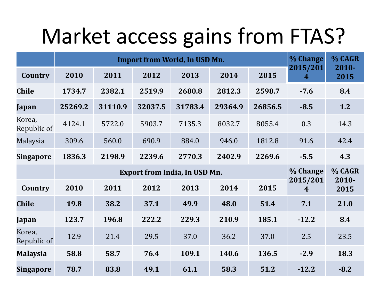# Market access gains from FTAS?

|                       |                               | <b>Import from World, In USD Mn.</b> |         | % Change | % CAGR  |         |                              |                  |
|-----------------------|-------------------------------|--------------------------------------|---------|----------|---------|---------|------------------------------|------------------|
| Country               | 2010                          | 2011                                 | 2012    | 2013     | 2014    | 2015    | 2015/201<br>$\overline{4}$   | $2010 -$<br>2015 |
| <b>Chile</b>          | 1734.7                        | 2382.1                               | 2519.9  | 2680.8   | 2812.3  | 2598.7  | $-7.6$                       | 8.4              |
| Japan                 | 25269.2                       | 31110.9                              | 32037.5 | 31783.4  | 29364.9 | 26856.5 | $-8.5$                       | 1.2              |
| Korea,<br>Republic of | 4124.1                        | 5722.0                               | 5903.7  | 7135.3   | 8032.7  | 8055.4  | 0.3                          | 14.3             |
| Malaysia              | 309.6                         | 560.0                                | 690.9   | 884.0    | 946.0   | 1812.8  | 91.6                         | 42.4             |
| <b>Singapore</b>      | 1836.3                        | 2198.9                               | 2239.6  | 2770.3   | 2402.9  | 2269.6  | $-5.5$                       | 4.3              |
|                       | Export from India, In USD Mn. |                                      |         |          |         |         |                              |                  |
|                       |                               |                                      |         |          |         |         | % Change                     | % CAGR           |
| Country               | 2010                          | 2011                                 | 2012    | 2013     | 2014    | 2015    | 2015/201<br>$\boldsymbol{4}$ | $2010 -$<br>2015 |
| <b>Chile</b>          | 19.8                          | 38.2                                 | 37.1    | 49.9     | 48.0    | 51.4    | 7.1                          | 21.0             |
| Japan                 | 123.7                         | 196.8                                | 222.2   | 229.3    | 210.9   | 185.1   | $-12.2$                      | 8.4              |
| Korea,<br>Republic of | 12.9                          | 21.4                                 | 29.5    | 37.0     | 36.2    | 37.0    | 2.5                          | 23.5             |
| <b>Malaysia</b>       | 58.8                          | 58.7                                 | 76.4    | 109.1    | 140.6   | 136.5   | $-2.9$                       | 18.3             |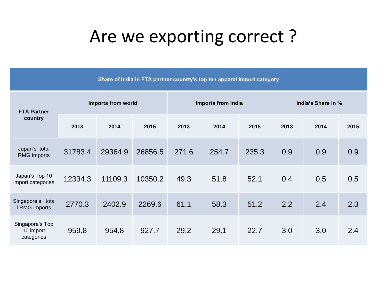#### Are we exporting correct ?

| Share of India in FTA partner country's top ten apparel import category |                    |         |         |                           |       |       |                    |      |      |
|-------------------------------------------------------------------------|--------------------|---------|---------|---------------------------|-------|-------|--------------------|------|------|
| <b>FTA Partner</b>                                                      | Imports from world |         |         | <b>Imports from India</b> |       |       | India's Share in % |      |      |
| country                                                                 | 2013               | 2014    | 2015    | 2013                      | 2014  | 2015  | 2013               | 2014 | 2015 |
| Japan's total<br><b>RMG</b> imports                                     | 31783.4            | 29364.9 | 26856.5 | 271.6                     | 254.7 | 235.3 | 0.9                | 0.9  | 0.9  |
| Japan's Top 10<br>import categories                                     | 12334.3            | 11109.3 | 10350.2 | 49.3                      | 51.8  | 52.1  | 0.4                | 0.5  | 0.5  |
| Singapore's tota<br>I RMG imports                                       | 2770.3             | 2402.9  | 2269.6  | 61.1                      | 58.3  | 51.2  | 2.2                | 2.4  | 2.3  |
| Singapore's Top<br>10 import<br>categories                              | 959.8              | 954.8   | 927.7   | 29.2                      | 29.1  | 22.7  | 3.0                | 3.0  | 2.4  |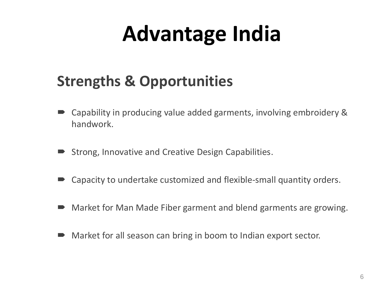# **Advantage India**

#### **Strengths & Opportunities**

- Capability in producing value added garments, involving embroidery & handwork.
- Strong, Innovative and Creative Design Capabilities.
- Capacity to undertake customized and flexible-small quantity orders.
- Market for Man Made Fiber garment and blend garments are growing.
- Market for all season can bring in boom to Indian export sector.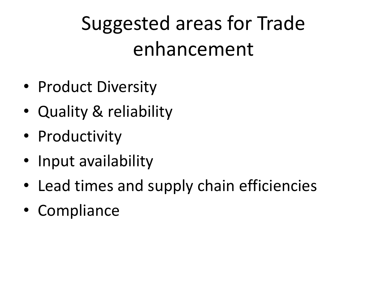# Suggested areas for Trade enhancement

- Product Diversity
- Quality & reliability
- Productivity
- Input availability
- Lead times and supply chain efficiencies
- Compliance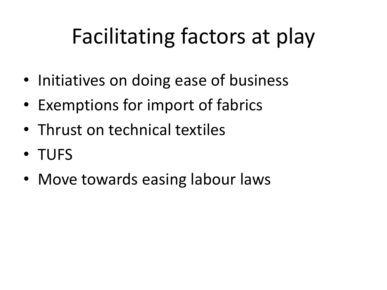# Facilitating factors at play

- Initiatives on doing ease of business
- Exemptions for import of fabrics
- Thrust on technical textiles
- TUFS
- Move towards easing labour laws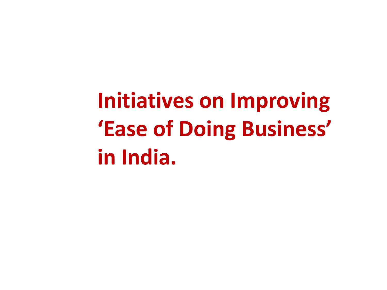**Initiatives on Improving 'Ease of Doing Business' in India.**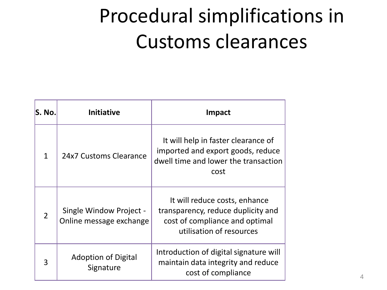# Procedural simplifications in Customs clearances

| S. No.         | <b>Initiative</b>                                  | <b>Impact</b>                                                                                                                     |
|----------------|----------------------------------------------------|-----------------------------------------------------------------------------------------------------------------------------------|
| $\mathbf{1}$   | 24x7 Customs Clearance                             | It will help in faster clearance of<br>imported and export goods, reduce<br>dwell time and lower the transaction<br>cost          |
| $\overline{2}$ | Single Window Project -<br>Online message exchange | It will reduce costs, enhance<br>transparency, reduce duplicity and<br>cost of compliance and optimal<br>utilisation of resources |
| 3              | <b>Adoption of Digital</b><br>Signature            | Introduction of digital signature will<br>maintain data integrity and reduce<br>cost of compliance                                |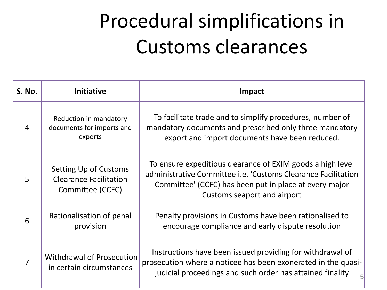# Procedural simplifications in Customs clearances

| S. No.         | <b>Initiative</b>                                                          | Impact                                                                                                                                                                                                               |
|----------------|----------------------------------------------------------------------------|----------------------------------------------------------------------------------------------------------------------------------------------------------------------------------------------------------------------|
| $\overline{4}$ | Reduction in mandatory<br>documents for imports and<br>exports             | To facilitate trade and to simplify procedures, number of<br>mandatory documents and prescribed only three mandatory<br>export and import documents have been reduced.                                               |
| 5              | Setting Up of Customs<br><b>Clearance Facilitation</b><br>Committee (CCFC) | To ensure expeditious clearance of EXIM goods a high level<br>administrative Committee i.e. 'Customs Clearance Facilitation<br>Committee' (CCFC) has been put in place at every major<br>Customs seaport and airport |
| 6              | Rationalisation of penal<br>provision                                      | Penalty provisions in Customs have been rationalised to<br>encourage compliance and early dispute resolution                                                                                                         |
| 7              | <b>Withdrawal of Prosecution</b><br>in certain circumstances               | Instructions have been issued providing for withdrawal of<br>prosecution where a noticee has been exonerated in the quasi-<br>judicial proceedings and such order has attained finality<br>5                         |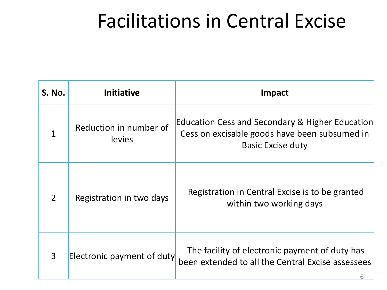### Facilitations in Central Excise

| <b>S. No.</b>  | <b>Initiative</b>                | Impact                                                                                                                       |
|----------------|----------------------------------|------------------------------------------------------------------------------------------------------------------------------|
| $\mathbf{1}$   | Reduction in number of<br>levies | Education Cess and Secondary & Higher Education<br>Cess on excisable goods have been subsumed in<br><b>Basic Excise duty</b> |
| $\overline{2}$ | Registration in two days         | Registration in Central Excise is to be granted<br>within two working days                                                   |
| 3              | Electronic payment of duty       | The facility of electronic payment of duty has<br>been extended to all the Central Excise assessees                          |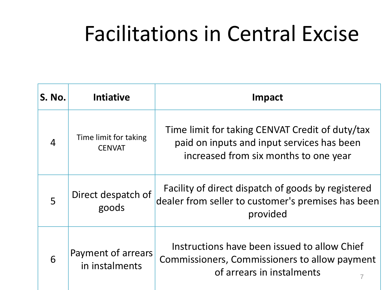# Facilitations in Central Excise

| <b>S. No.</b> | <b>Intiative</b>                       | Impact                                                                                                                                 |  |  |  |  |
|---------------|----------------------------------------|----------------------------------------------------------------------------------------------------------------------------------------|--|--|--|--|
| 4             | Time limit for taking<br><b>CENVAT</b> | Time limit for taking CENVAT Credit of duty/tax<br>paid on inputs and input services has been<br>increased from six months to one year |  |  |  |  |
| 5             | Direct despatch of<br>goods            | Facility of direct dispatch of goods by registered<br>dealer from seller to customer's premises has been<br>provided                   |  |  |  |  |
| 6             | Payment of arrears<br>in instalments   | Instructions have been issued to allow Chief<br>Commissioners, Commissioners to allow payment<br>of arrears in instalments<br>7        |  |  |  |  |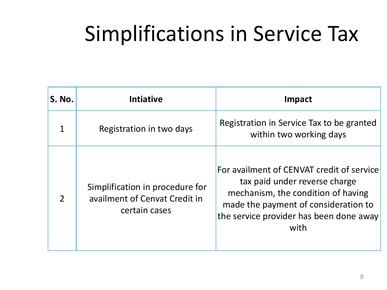# Simplifications in Service Tax

| <b>S. No.</b> | <b>Intiative</b>                                                                  | Impact                                                                                                                                                                                                      |
|---------------|-----------------------------------------------------------------------------------|-------------------------------------------------------------------------------------------------------------------------------------------------------------------------------------------------------------|
|               | Registration in two days                                                          | Registration in Service Tax to be granted<br>within two working days                                                                                                                                        |
| $\mathcal{P}$ | Simplification in procedure for<br>availment of Cenvat Credit in<br>certain cases | For availment of CENVAT credit of service<br>tax paid under reverse charge<br>mechanism, the condition of having<br>made the payment of consideration to<br>the service provider has been done away<br>with |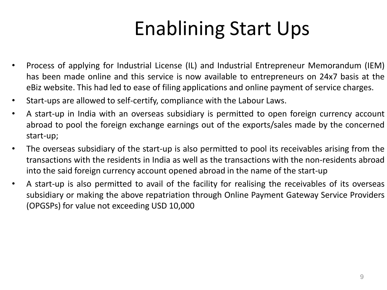# Enablining Start Ups

- Process of applying for Industrial License (IL) and Industrial Entrepreneur Memorandum (IEM) has been made online and this service is now available to entrepreneurs on 24x7 basis at the eBiz website. This had led to ease of filing applications and online payment of service charges.
- Start-ups are allowed to self-certify, compliance with the Labour Laws.
- A start-up in India with an overseas subsidiary is permitted to open foreign currency account abroad to pool the foreign exchange earnings out of the exports/sales made by the concerned start-up;
- The overseas subsidiary of the start-up is also permitted to pool its receivables arising from the transactions with the residents in India as well as the transactions with the non-residents abroad into the said foreign currency account opened abroad in the name of the start-up
- A start-up is also permitted to avail of the facility for realising the receivables of its overseas subsidiary or making the above repatriation through Online Payment Gateway Service Providers (OPGSPs) for value not exceeding USD 10,000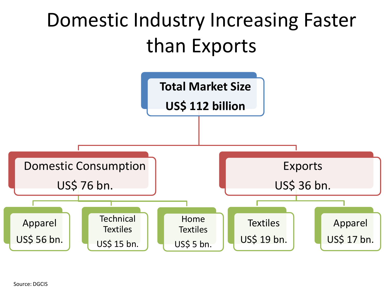# Domestic Industry Increasing Faster than Exports



Source: DGCIS